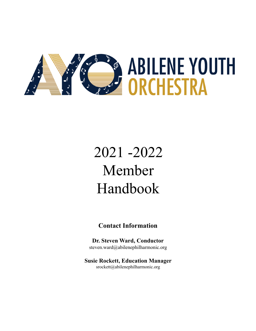

# 2021 -2022 Member Handbook

#### **Contact Information**

**Dr. Steven Ward, Conductor** steven.ward@abilenephilharmonic.org

**Susie Rockett, Education Manager** srockett@abilenephilharmonic.org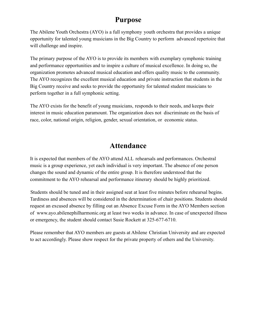#### **Purpose**

The Abilene Youth Orchestra (AYO) is a full symphony youth orchestra that provides a unique opportunity for talented young musicians in the Big Country to perform advanced repertoire that will challenge and inspire.

The primary purpose of the AYO is to provide its members with exemplary symphonic training and performance opportunities and to inspire a culture of musical excellence. In doing so, the organization promotes advanced musical education and offers quality music to the community. The AYO recognizes the excellent musical education and private instruction that students in the Big Country receive and seeks to provide the opportunity for talented student musicians to perform together in a full symphonic setting.

The AYO exists for the benefit of young musicians, responds to their needs, and keeps their interest in music education paramount. The organization does not discriminate on the basis of race, color, national origin, religion, gender, sexual orientation, or economic status.

### **Attendance**

It is expected that members of the AYO attend ALL rehearsals and performances. Orchestral music is a group experience, yet each individual is very important. The absence of one person changes the sound and dynamic of the entire group. It is therefore understood that the commitment to the AYO rehearsal and performance itinerary should be highly prioritized.

Students should be tuned and in their assigned seat at least five minutes before rehearsal begins. Tardiness and absences will be considered in the determination of chair positions. Students should request an excused absence by filling out an Absence Excuse Form in the AYO Members section of www.ayo.abilenephilharmonic.org at least two weeks in advance. In case of unexpected illness or emergency, the student should contact Susie Rockett at 325-677-6710.

Please remember that AYO members are guests at Abilene Christian University and are expected to act accordingly. Please show respect for the private property of others and the University.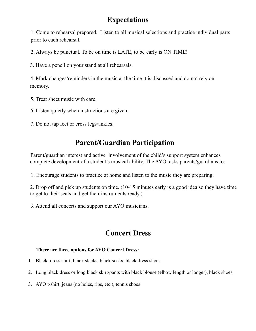## **Expectations**

1. Come to rehearsal prepared. Listen to all musical selections and practice individual parts prior to each rehearsal.

2. Always be punctual. To be on time is LATE, to be early is ON TIME!

3. Have a pencil on your stand at all rehearsals.

4. Mark changes/reminders in the music at the time it is discussed and do not rely on memory.

- 5. Treat sheet music with care.
- 6. Listen quietly when instructions are given.
- 7. Do not tap feet or cross legs/ankles.

# **Parent/Guardian Participation**

Parent/guardian interest and active involvement of the child's support system enhances complete development of a student's musical ability. The AYO asks parents/guardians to:

1. Encourage students to practice at home and listen to the music they are preparing.

2. Drop off and pick up students on time. (10-15 minutes early is a good idea so they have time to get to their seats and get their instruments ready.)

3. Attend all concerts and support our AYO musicians.

# **Concert Dress**

#### **There are three options for AYO Concert Dress:**

- 1. Black dress shirt, black slacks, black socks, black dress shoes
- 2. Long black dress or long black skirt/pants with black blouse (elbow length or longer), black shoes
- 3. AYO t-shirt, jeans (no holes, rips, etc.), tennis shoes